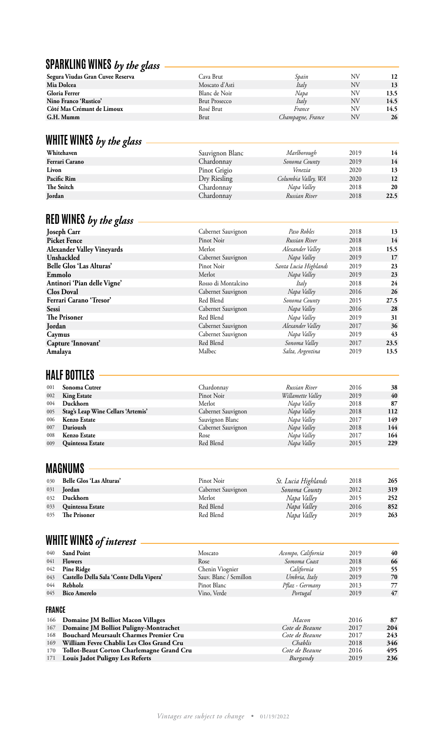# **SPARKLING WINES** *by the glass*

| Segura Viudas Gran Cuvee Reserva | Cava Brut            | Spain             | NV | 12   |
|----------------------------------|----------------------|-------------------|----|------|
| Mia Dolcea                       | Moscato d'Asti       | Italy             | NV | 13   |
| Gloria Ferrer                    | Blanc de Noir        | Napa              | NV | 13.5 |
| Nino Franco 'Rustico'            | <b>Brut Prosecco</b> | Italy             | NV | 14.5 |
| Côté Mas Crémant de Limoux       | Rosé Brut            | France            | NV | 14.5 |
| G.H. Mumm                        | Brut                 | Champagne, France | NV | 26   |
|                                  |                      |                   |    |      |

## **WHITE WINES** *by the glass*

| Whitehaven     | Sauvignon Blanc | Marlborough         | 2019 | 14      |
|----------------|-----------------|---------------------|------|---------|
| Ferrari Carano | Chardonnay      | Sonoma County       | 2019 | 14      |
| Livon          | Pinot Grigio    | Venezia             | 2020 | 13      |
| Pacific Rim    | Dry Riesling    | Columbia Valley, WA | 2020 | $12 \,$ |
| The Snitch     | Chardonnay      | Napa Valley         | 2018 | 20      |
| Jordan         | Chardonnay      | Russian River       | 2018 | 22.5    |

## **RED WINES** *by the glass*

| <b>Joseph Carr</b>                | Cabernet Sauvignon  | Paso Robles           | 2018 | 13   |
|-----------------------------------|---------------------|-----------------------|------|------|
| <b>Picket Fence</b>               | Pinot Noir          | Russian River         | 2018 | 14   |
| <b>Alexander Valley Vineyards</b> | Merlot              | Alexander Valley      | 2018 | 15.5 |
| Unshackled                        | Cabernet Sauvignon  | Napa Valley           | 2019 | 17   |
| <b>Belle Glos 'Las Alturas'</b>   | Pinot Noir          | Santa Lucia Highlands | 2019 | 23   |
| Emmolo                            | Merlot              | Napa Valley           | 2019 | 23   |
| Antinori 'Pian delle Vigne'       | Rosso di Montalcino | Italy                 | 2018 | 24   |
| <b>Clos Doval</b>                 | Cabernet Sauvignon  | Napa Valley           | 2016 | 26   |
| Ferrari Carano 'Tresor'           | Red Blend           | Sonoma County         | 2015 | 27.5 |
| <b>Sessi</b>                      | Cabernet Sauvignon  | Napa Valley           | 2016 | 28   |
| The Prisoner                      | Red Blend           | Napa Valley           | 2019 | 31   |
| Jordan                            | Cabernet Sauvignon  | Alexander Valley      | 2017 | 36   |
| Caymus                            | Cabernet Sauvignon  | Napa Valley           | 2019 | 43   |
| Capture 'Innovant'                | Red Blend           | Sonoma Valley         | 2017 | 23.5 |
| Amalaya                           | Malbec              | Salta, Argentina      | 2019 | 13.5 |

# **HALF BOTTLES**

| 001 | Sonoma Cutrer                      | Chardonnay         | Russian River     | 2016 | 38  |
|-----|------------------------------------|--------------------|-------------------|------|-----|
| 002 | <b>King Estate</b>                 | Pinot Noir         | Willamette Valley | 2019 | 40  |
| 004 | Duckhorn                           | Merlot             | Napa Valley       | 2018 | 87  |
| 005 | Stag's Leap Wine Cellars 'Artemis' | Cabernet Sauvignon | Napa Valley       | 2018 | 112 |
| 006 | <b>Kenzo Estate</b>                | Sauvignon Blanc    | Napa Valley       | 2017 | 149 |
| 007 | Darioush                           | Cabernet Sauvignon | Napa Valley       | 2018 | 144 |
| 008 | <b>Kenzo Estate</b>                | Rose               | Napa Valley       | 2017 | 164 |
| 009 | Quintessa Estate                   | Red Blend          | Napa Valley       | 2015 | 229 |
|     |                                    |                    |                   |      |     |

# **MAGNUMS**

| 030 | Belle Glos 'Las Alturas' | Pinot Noir         | St. Lucia Highlands | 2018 | 265 |
|-----|--------------------------|--------------------|---------------------|------|-----|
| 031 | Jordan                   | Cabernet Sauvignon | Sonoma County       | 2012 | 319 |
| 032 | Duckhorn                 | Merlot             | Napa Valley         | 2015 | 252 |
| 033 | Quintessa Estate         | Red Blend          | Napa Valley         | 2016 | 852 |
| 035 | The Prisoner             | Red Blend          | Napa Valley         | 2019 | 263 |

# **WHITE WINES** *of interest*

| 040 | <b>Sand Point</b>                            | Moscato                | Acompo, California | 2019 | 40 |
|-----|----------------------------------------------|------------------------|--------------------|------|----|
| 041 | <b>Flowers</b>                               | Rose                   | Somoma Coast       | 2018 | 66 |
| 042 | <b>Pine Ridge</b>                            | Chenin Viognier        | California         | 2019 | 55 |
|     | 043 Castello Della Sala 'Conte Della Vipera' | Sauv. Blanc / Semillon | Umbria, Italy      | 2019 | 70 |
| 044 | Rebholz                                      | Pinot Blanc            | Pflaz - Germany    | 2013 | 77 |
| 045 | <b>Bico Amerelo</b>                          | Vino, Verde            | Portugal           | 2019 | 47 |
|     |                                              |                        |                    |      |    |

#### **FRANCE**

| .   |                                            |                |      |     |
|-----|--------------------------------------------|----------------|------|-----|
|     | 166 Domaine JM Bolliot Macon Villages      | Macon          | 2016 | 87  |
|     | 167 Domaine JM Bolliot Puligny-Montrachet  | Cote de Beaune | 2017 | 204 |
|     | 168 Bouchard Meursault Charmes Premier Cru | Cote de Beaune | 2017 | 243 |
| 169 | William Fevre Chablis Les Clos Grand Cru   | Chablis        | 2018 | 346 |
| 170 | Tollot-Beaut Corton Charlemagne Grand Cru  | Cote de Beaune | 2016 | 495 |
|     | 171 Louis Jadot Puligny Les Referts        | Burgandy       | 2019 | 236 |
|     |                                            |                |      |     |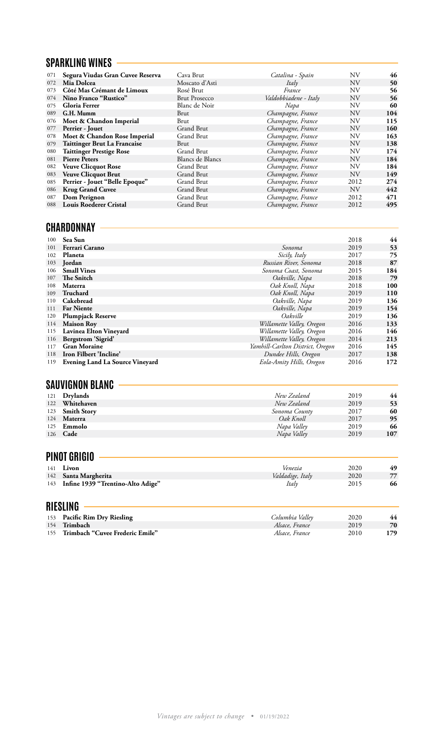#### **SPARKLING WINES**

| 071 | Segura Viudas Gran Cuvee Reserva | Cava Brut            | Catalina - Spain      | ΝV        | 46  |
|-----|----------------------------------|----------------------|-----------------------|-----------|-----|
| 072 | Mia Dolcea                       | Moscato d'Asti       | Italy                 | <b>NV</b> | 50  |
| 073 | Côté Mas Crémant de Limoux       | Rosé Brut            | France                | ΝV        | 56  |
| 074 | Nino Franco "Rustico"            | <b>Brut Prosecco</b> | Valdobbiadene - Italy | <b>NV</b> | 56  |
| 075 | <b>Gloria Ferrer</b>             | Blanc de Noir        | Napa                  | ΝV        | 60  |
| 089 | G.H. Mumm                        | Brut                 | Champagne, France     | <b>NV</b> | 104 |
| 076 | Moet & Chandon Imperial          | Brut                 | Champagne, France     | ΝV        | 115 |
| 077 | Perrier - Jouet                  | Grand Brut           | Champagne, France     | <b>NV</b> | 160 |
| 078 | Moet & Chandon Rose Imperial     | Grand Brut           | Champagne, France     | ΝV        | 163 |
| 079 | Taittinger Brut La Francaise     | Brut                 | Champagne, France     | <b>NV</b> | 138 |
| 080 | <b>Taittinger Prestige Rose</b>  | Grand Brut           | Champagne, France     | ΝV        | 174 |
| 081 | <b>Pierre Peters</b>             | Blancs de Blancs     | Champagne, France     | <b>NV</b> | 184 |
| 082 | <b>Veuve Clicquot Rose</b>       | Grand Brut           | Champagne, France     | NV        | 184 |
| 083 | <b>Veuve Clicquot Brut</b>       | Grand Brut           | Champagne, France     | <b>NV</b> | 149 |
| 085 | Perrier - Jouet "Belle Epoque"   | Grand Brut           | Champagne, France     | 2012      | 274 |
| 086 | <b>Krug Grand Cuvee</b>          | Grand Brut           | Champagne, France     | NV        | 442 |
| 087 | Dom Perignon                     | Grand Brut           | Champagne, France     | 2012      | 471 |
| 088 | <b>Louis Roederer Cristal</b>    | Grand Brut           | Champagne, France     | 2012      | 495 |
|     |                                  |                      |                       |           |     |

# **CHARDONNAY**

| 100 | Sea Sun                                |                                  | 2018 | 44  |
|-----|----------------------------------------|----------------------------------|------|-----|
| 101 | Ferrari Carano                         | Sonoma                           | 2019 | 53  |
| 102 | Planeta                                | Sicily, Italy                    | 2017 | 75  |
| 103 | Jordan                                 | Russian River, Sonoma            | 2018 | 87  |
| 106 | <b>Small Vines</b>                     | Sonoma Coast, Sonoma             | 2015 | 184 |
| 107 | The Snitch                             | Oakville, Napa                   | 2018 | 79  |
| 108 | Materra                                | Oak Knoll, Napa                  | 2018 | 100 |
| 109 | Truchard                               | Oak Knoll, Napa                  | 2019 | 110 |
| 110 | Cakebread                              | Oakville, Napa                   | 2019 | 136 |
| 111 | <b>Far Niente</b>                      | Oakville, Napa                   | 2019 | 154 |
| 120 | <b>Plumpjack Reserve</b>               | Oakville                         | 2019 | 136 |
| 114 | <b>Maison Roy</b>                      | Willamette Valley, Oregon        | 2016 | 133 |
| 115 | Lavinea Elton Vineyard                 | Willamette Valley, Oregon        | 2016 | 146 |
| 116 | Bergstrom 'Sigrid'                     | Willamette Valley, Oregon        | 2014 | 213 |
| 117 | <b>Gran Moraine</b>                    | Yamhill-Carlton District, Oregon | 2016 | 145 |
| 118 | Iron Filbert 'Incline'                 | Dundee Hills, Oregon             | 2017 | 138 |
| 119 | <b>Evening Land La Source Vineyard</b> | Eola-Amity Hills, Oregon         | 2016 | 172 |
|     | <b>SAUVIGNON BLANC</b>                 |                                  |      |     |
| 121 | <b>Drylands</b>                        | New Zealand                      | 2019 | 44  |
| 122 | Whitehaven                             | New Zealand                      | 2019 | 53  |
| 123 | <b>Smith Story</b>                     | Sonoma County                    | 2017 | 60  |
| 124 | Materra                                | Oak Knoll                        | 2017 | 95  |
| 125 | Emmolo                                 | Napa Valley                      | 2019 | 66  |
| 126 | Cade                                   | Napa Valley                      | 2019 | 107 |

# **PINOT GRIGIO**

| 141 | Livon<br>142 Santa Margherita<br>143 Infine 1939 "Trentino-Alto Adige" | Venezia<br>Valdadige, Italy<br>Italy               | 2020<br>2020<br>2015 | 49<br>77<br>66    |
|-----|------------------------------------------------------------------------|----------------------------------------------------|----------------------|-------------------|
|     | <b>RIESLING</b>                                                        |                                                    |                      |                   |
|     | $\mathbf{r} \in \mathbb{R}$ is not in the set of $\mathbf{r}$          | $\alpha$ $\beta$ $\beta$ $\gamma$ $\beta$ $\gamma$ | 0.000                | $\prime$ $\prime$ |

| 153 Pacific Rim Dry Riesling        | Columbia Valley | 2020 | 44  |
|-------------------------------------|-----------------|------|-----|
| 154 Trimbach                        | Alsace, France  | 2019 | 70  |
| 155 Trimbach "Cuvee Frederic Emile" | Alsace. France  | 2010 | 179 |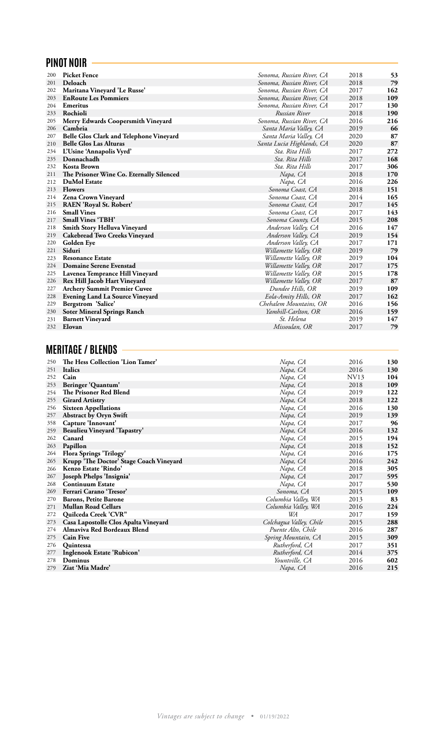## **PINOT NOIR**

| 200 | <b>Picket Fence</b>                      | Sonoma, Russian River, CA | 2018 | 53  |
|-----|------------------------------------------|---------------------------|------|-----|
| 201 | Deloach                                  | Sonoma, Russian River, CA | 2018 | 79  |
| 202 | Maritana Vineyard 'Le Russe'             | Sonoma, Russian River, CA | 2017 | 162 |
| 203 | <b>EnRoute Les Pommiers</b>              | Sonoma, Russian River, CA | 2018 | 109 |
| 204 | <b>Emeritus</b>                          | Sonoma, Russian River, CA | 2017 | 130 |
| 233 | Rochioli                                 | Russian River             | 2018 | 190 |
| 205 | Merry Edwards Coopersmith Vineyard       | Sonoma, Russian River, CA | 2016 | 216 |
| 206 | Cambria                                  | Santa Maria Valley, CA    | 2019 | 66  |
| 207 | Belle Glos Clark and Telephone Vineyard  | Santa Maria Valley, CA    | 2020 | 87  |
| 210 | <b>Belle Glos Las Alturas</b>            | Santa Lucia Highlands, CA | 2020 | 87  |
| 234 | L'Usine 'Annapolis Vyrd'                 | Sta. Rita Hills           | 2017 | 272 |
| 235 | Donnachadh                               | Sta. Rita Hills           | 2017 | 168 |
| 232 | <b>Kosta Brown</b>                       | Sta. Rita Hills           | 2017 | 306 |
| 211 | The Prisoner Wine Co. Eternally Silenced | Napa, CA                  | 2018 | 170 |
| 212 | <b>DuMol Estate</b>                      | Napa, CA                  | 2016 | 226 |
| 213 | <b>Flowers</b>                           | Sonoma Coast, CA          | 2018 | 151 |
| 214 | Zena Crown Vineyard                      | Sonoma Coast, CA          | 2014 | 165 |
| 215 | RAEN 'Royal St. Robert'                  | Sonoma Coast, CA          | 2017 | 145 |
| 216 | <b>Small Vines</b>                       | Sonoma Coast, CA          | 2017 | 143 |
| 217 | <b>Small Vines 'TBH'</b>                 | Sonoma County, CA         | 2015 | 208 |
| 218 | Smith Story Helluva Vineyard             | Anderson Valley, CA       | 2016 | 147 |
| 219 | <b>Cakebread Two Creeks Vineyard</b>     | Anderson Valley, CA       | 2019 | 154 |
| 220 | Golden Eye                               | Anderson Valley, CA       | 2017 | 171 |
| 221 | Siduri                                   | Willamette Valley, OR     | 2019 | 79  |
| 223 | <b>Resonance Estate</b>                  | Willamette Valley, OR     | 2019 | 104 |
| 224 | <b>Domaine Serene Evenstad</b>           | Willamette Valley, OR     | 2017 | 175 |
| 225 | Lavenea Temprance Hill Vineyard          | Willamette Valley, OR     | 2015 | 178 |
| 226 | Rex Hill Jacob Hart Vineyard             | Willamette Valley, OR     | 2017 | 87  |
| 227 | <b>Archery Summit Premier Cuvee</b>      | Dundee Hills, OR          | 2019 | 109 |
| 228 | <b>Evening Land La Source Vineyard</b>   | Eola-Amity Hills, OR      | 2017 | 162 |
| 229 | Bergstrom 'Salice'                       | Chehalem Mountains, OR    | 2016 | 156 |
| 230 | <b>Soter Mineral Springs Ranch</b>       | Yamhill-Carlton, OR       | 2016 | 159 |
| 231 | <b>Barnett Vineyard</b>                  | St. Helena                | 2019 | 147 |
| 232 | Elovan                                   | Missoulan, OR             | 2017 | 79  |
|     |                                          |                           |      |     |

# **MERITAGE / BLENDS**

| 250 | The Hess Collection 'Lion Tamer'        | Napa, CA                | 2016 | 130 |
|-----|-----------------------------------------|-------------------------|------|-----|
| 251 | <b>Italics</b>                          | Napa, CA                | 2016 | 130 |
| 252 | Cain                                    | Napa, CA                | NV13 | 104 |
| 253 | Beringer 'Quantum'                      | Napa, CA                | 2018 | 109 |
| 254 | The Prisoner Red Blend                  | Napa, CA                | 2019 | 122 |
| 255 | <b>Girard Artistry</b>                  | Napa, CA                | 2018 | 122 |
| 256 | <b>Sixteen Appellations</b>             | Napa, CA                | 2016 | 130 |
| 257 | <b>Abstract by Oryn Swift</b>           | Napa, CA                | 2019 | 139 |
| 358 | Capture 'Innovant'                      | Napa, CA                | 2017 | 96  |
| 259 | Beaulieu Vineyard 'Tapastry'            | Napa, CA                | 2016 | 132 |
| 262 | Canard                                  | Napa, CA                | 2015 | 194 |
| 263 | Papillon                                | Napa, CA                | 2018 | 152 |
| 264 | <b>Flora Springs 'Trilogy'</b>          | Napa, CA                | 2016 | 175 |
| 265 | Krupp 'The Doctor' Stage Coach Vineyard | Napa, CA                | 2016 | 242 |
| 266 | Kenzo Estate 'Rindo'                    | Napa, CA                | 2018 | 305 |
| 267 | Joseph Phelps 'Insignia'                | Napa, CA                | 2017 | 595 |
| 268 | <b>Continuum Estate</b>                 | Napa, CA                | 2017 | 530 |
| 269 | Ferrari Carano 'Tresor'                 | Sonoma, CA              | 2015 | 109 |
| 270 | <b>Barons, Petite Barone</b>            | Columbia Valley, WA     | 2013 | 83  |
| 271 | <b>Mullan Road Cellars</b>              | Columbia Valley, WA     | 2016 | 224 |
| 272 | Quilceda Creek 'CVR"                    | WA                      | 2017 | 159 |
| 273 | Casa Lapostolle Clos Apalta Vineyard    | Colchagua Valley, Chile | 2015 | 288 |
| 274 | Almaviva Red Bordeaux Blend             | Puente Alto, Chile      | 2016 | 287 |
| 275 | <b>Cain Five</b>                        | Spring Mountain, CA     | 2015 | 309 |
| 276 | <b>Ouintessa</b>                        | Rutherford, CA          | 2017 | 351 |
| 277 | Inglenook Estate 'Rubicon'              | Rutherford, CA          | 2014 | 375 |
| 278 | Dominus                                 | Yountville, CA          | 2016 | 602 |
| 279 | Ziat 'Mia Madre'                        | Napa, CA                | 2016 | 215 |
|     |                                         |                         |      |     |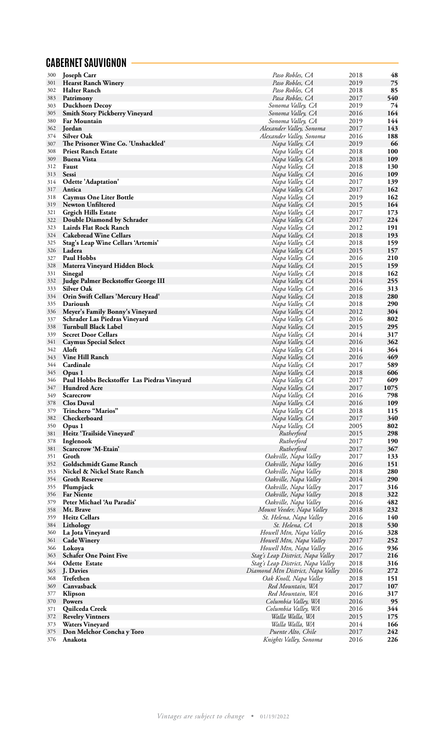### **CABERNET SAUVIGNON**

| 300 | <b>Joseph Carr</b>                          | Paso Robles, CA                   | 2018 | 48   |
|-----|---------------------------------------------|-----------------------------------|------|------|
| 301 | <b>Hearst Ranch Winery</b>                  | Paso Robles, CA                   | 2019 | 75   |
| 302 | Halter Ranch                                | Paso Robles, CA                   | 2018 | 85   |
| 383 | Patrimony                                   | Pasa Robles, CA                   | 2017 | 540  |
|     |                                             |                                   |      |      |
| 303 | <b>Duckhorn Decoy</b>                       | Sonoma Valley, CA                 | 2019 | 74   |
| 305 | <b>Smith Story Pickberry Vineyard</b>       | Sonoma Valley, CA                 | 2016 | 164  |
| 380 | <b>Far Mountain</b>                         | Sonoma Valley, CA                 | 2019 | 144  |
| 362 | Jordan                                      | Alexander Valley, Sonoma          | 2017 | 143  |
| 374 | <b>Silver Oak</b>                           | Alexander Valley, Sonoma          | 2016 | 188  |
| 307 | The Prisoner Wine Co. 'Unshackled'          | Napa Valley, CA                   | 2019 | 66   |
|     |                                             |                                   |      |      |
| 308 | <b>Priest Ranch Estate</b>                  | Napa Valley, CA                   | 2018 | 100  |
| 309 | <b>Buena Vista</b>                          | Napa Valley, CA                   | 2018 | 109  |
| 312 | Faust                                       | Napa Valley, CA                   | 2018 | 130  |
| 313 | <b>Sessi</b>                                | Napa Valley, CA                   | 2016 | 109  |
| 314 | Odette 'Adaptation'                         | Napa Valley, CA                   | 2017 | 139  |
| 317 | Antica                                      |                                   | 2017 | 162  |
|     |                                             | Napa Valley, CA                   |      |      |
| 318 | <b>Caymus One Liter Bottle</b>              | Napa Valley, CA                   | 2019 | 162  |
| 319 | <b>Newton Unfiltered</b>                    | Napa Valley, CA                   | 2015 | 164  |
| 321 | <b>Grgich Hills Estate</b>                  | Napa Valley, CA                   | 2017 | 173  |
| 322 | Double Diamond by Schrader                  | Napa Valley, CA                   | 2017 | 224  |
| 323 | Lairds Flat Rock Ranch                      | Napa Valley, CA                   | 2012 | 191  |
|     |                                             |                                   |      |      |
| 324 | <b>Cakebread Wine Cellars</b>               | Napa Valley, CA                   | 2018 | 193  |
| 325 | Stag's Leap Wine Cellars 'Artemis'          | Napa Valley, CA                   | 2018 | 159  |
| 326 | Ladera                                      | Napa Valley, CA                   | 2015 | 157  |
| 327 | <b>Paul Hobbs</b>                           | Napa Valley, CA                   | 2016 | 210  |
| 328 | Materra Vineyard Hidden Block               | Napa Valley, CA                   | 2015 | 159  |
|     | Sinegal                                     |                                   | 2018 | 162  |
| 331 |                                             | Napa Valley, CA                   |      |      |
| 332 | Judge Palmer Beckstoffer George III         | Napa Valley, CA                   | 2014 | 255  |
| 333 | <b>Silver Oak</b>                           | Napa Valley, CA                   | 2016 | 313  |
| 334 | Orin Swift Cellars 'Mercury Head'           | Napa Valley, CA                   | 2018 | 280  |
| 335 | Darioush                                    | Napa Valley, CA                   | 2018 | 290  |
| 336 | Meyer's Family Bonny's Vineyard             | Napa Valley, CA                   | 2012 | 304  |
| 337 |                                             |                                   | 2016 | 802  |
|     | <b>Schrader Las Piedras Vineyard</b>        | Napa Valley, CA                   |      |      |
| 338 | Turnbull Black Label                        | Napa Valley, CA                   | 2015 | 295  |
| 339 | <b>Secret Door Cellars</b>                  | Napa Valley, CA                   | 2014 | 317  |
| 341 | <b>Caymus Special Select</b>                | Napa Valley, CA                   | 2016 | 362  |
| 342 | Aloft                                       | Napa Valley, CA                   | 2014 | 364  |
| 343 | <b>Vine Hill Ranch</b>                      | Napa Valley, CA                   | 2016 | 469  |
|     |                                             |                                   |      |      |
| 344 | Cardinale                                   | Napa Valley, CA                   | 2017 | 589  |
| 345 | Opus 1                                      | Napa Valley, CA                   | 2018 | 606  |
| 346 | Paul Hobbs Beckstoffer Las Piedras Vineyard | Napa Valley, CA                   | 2017 | 609  |
| 347 | <b>Hundred Acre</b>                         | Napa Valley, CA                   | 2017 | 1075 |
| 349 | Scarecrow                                   | Napa Valley, CA                   | 2016 | 798  |
| 378 | <b>Clos Duval</b>                           | Napa Valley, CA                   | 2016 | 109  |
|     |                                             |                                   |      |      |
| 379 | Trinchero "Marios"                          | Napa Valley, CA                   | 2018 | 115  |
| 382 | Checkerboard                                | Napa Valley, CA                   | 2017 | 340  |
| 350 | Opus 1                                      | Napa Valley, CA                   | 2005 | 802  |
| 381 | Heitz 'Trailside Vineyard'                  | Rutherford                        | 2015 | 298  |
| 378 | Inglenook                                   | Rutherford                        | 2017 | 190  |
| 381 | Scarecrow 'M-Etain'                         | Rutherford                        | 2017 | 367  |
|     | Groth                                       |                                   |      |      |
| 351 |                                             | Oakville, Napa Valley             | 2017 | 133  |
| 352 | Goldschmidt Game Ranch                      | Oakville, Napa Valley             | 2016 | 151  |
| 353 | Nickel & Nickel State Ranch                 | Oakville, Napa Valley             | 2018 | 280  |
| 354 | <b>Groth Reserve</b>                        | Oakville, Napa Valley             | 2014 | 290  |
| 355 | Plumpjack                                   | Oakville, Napa Valley             | 2017 | 316  |
| 356 | <b>Far Niente</b>                           | Oakville, Napa Valley             | 2018 | 322  |
| 379 | Peter Michael 'Au Paradis'                  | Oakville, Napa Valley             | 2016 | 482  |
|     |                                             |                                   |      |      |
| 358 | Mt. Brave                                   | Mount Veeder, Napa Valley         | 2018 | 232  |
| 359 | <b>Heitz Cellars</b>                        | St. Helena, Napa Valley           | 2016 | 140  |
| 384 | Lithology                                   | St. Helena, CA                    | 2018 | 530  |
| 360 | La Jota Vineyard                            | Howell Mtn, Napa Valley           | 2016 | 328  |
| 361 | <b>Cade Winery</b>                          | Howell Mtn, Napa Valley           | 2017 | 252  |
| 366 |                                             |                                   | 2016 | 936  |
|     | Lokoya                                      | Howell Mtn, Napa Valley           |      |      |
| 363 | <b>Schafer One Point Five</b>               | Stag's Leap District, Napa Valley | 2017 | 216  |
| 364 | <b>Odette Estate</b>                        | Stag's Leap District, Napa Valley | 2018 | 316  |
| 365 | J. Davies                                   | Diamond Mtn District, Napa Valley | 2016 | 272  |
| 368 | Trefethen                                   | Oak Knoll, Napa Valley            | 2018 | 151  |
| 369 | Canvasback                                  | Red Mountain, WA                  | 2017 | 107  |
|     |                                             |                                   |      |      |
| 377 | Klipson                                     | Red Mountain, WA                  | 2016 | 317  |
| 370 | Powers                                      | Columbia Valley, WA               | 2016 | 95   |
| 371 | Quilceda Creek                              | Columbia Valley, WA               | 2016 | 344  |
| 372 | <b>Revelry Vintners</b>                     | Walla Walla, WA                   | 2015 | 175  |
| 373 | <b>Waters Vineyard</b>                      | Walla Walla, WA                   | 2014 | 166  |
| 375 | Don Melchor Concha y Toro                   | Puente Alto, Chile                | 2017 | 242  |
|     |                                             |                                   |      | 226  |
| 376 | Anakota                                     | Knights Valley, Sonoma            | 2016 |      |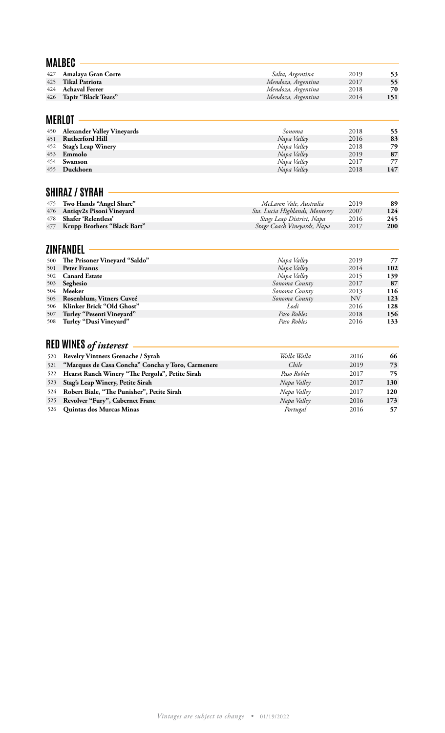|            | <b>MALBEC</b>                                          |                                |              |            |
|------------|--------------------------------------------------------|--------------------------------|--------------|------------|
| 427        | Amalaya Gran Corte                                     | Salta, Argentina               | 2019         | 53         |
| 425        | <b>Tikal Patriota</b>                                  | Mendoza, Argentina             | 2017         | 55         |
| 424        | <b>Achaval Ferrer</b>                                  | Mendoza, Argentina             | 2018         | 70         |
| 426        | Tapiz "Black Tears"                                    | Mendoza, Argentina             | 2014         | 151        |
|            |                                                        |                                |              |            |
|            | MERLOT                                                 |                                |              |            |
| 450        | <b>Alexander Valley Vineyards</b>                      | Sonoma                         | 2018         | 55         |
| 451        | <b>Rutherford Hill</b>                                 | Napa Valley                    | 2016         | 83         |
| 452        | <b>Stag's Leap Winery</b>                              | Napa Valley                    | 2018         | 79         |
| 453        | Emmolo                                                 | Napa Valley                    | 2019         | 87         |
| 454        | Swanson                                                | Napa Valley                    | 2017         | 77         |
| 455        | Duckhorn                                               | Napa Valley                    | 2018         | 147        |
|            | SHIRAZ / SYRAH                                         |                                |              |            |
| 475        | Two Hands "Angel Share"                                | McLaren Vale, Australia        | 2019         | 89         |
| 476        | Antiqv2s Pisoni Vineyard                               | Sta. Lucia Highlands, Monterey | 2007         | 124        |
| 478        | Shafer 'Relentless'                                    | Stags Leap District, Napa      | 2016         | 245        |
| 477        | Krupp Brothers "Black Bart"                            | Stage Coach Vineyards, Napa    | 2017         | 200        |
|            | ZINFANDEL                                              |                                |              |            |
| 500        | The Prisoner Vineyard "Saldo"                          | Napa Valley                    | 2019         | 77         |
| 501        | <b>Peter Franus</b>                                    | Napa Valley                    | 2014         | 102        |
| 502        | <b>Canard Estate</b>                                   | Napa Valley                    | 2015         | 139        |
| 503        | Seghesio                                               | Sonoma County                  | 2017         | 87         |
| 504        | Meeker                                                 | Sonoma County                  | 2013         | 116        |
| 505        | Rosenblum, Vitners Cuveé                               | Sonoma County                  | <b>NV</b>    | 123        |
| 506<br>507 | Klinker Brick "Old Ghost"<br>Turley "Pesenti Vineyard" | Lodi<br>Paso Robles            | 2016<br>2018 | 128<br>156 |
| 508        | Turley "Dusi Vineyard"                                 | Paso Robles                    | 2016         | 133        |
|            |                                                        |                                |              |            |
|            | <b>RED WINES</b> of interest                           |                                |              |            |
| 520        | Revelry Vintners Grenache / Syrah                      | Walla Walla                    | 2016         | 66         |
| 521        | "Marques de Casa Concha" Concha y Toro, Carmenere      | Chile                          | 2019         | 73         |
| 522        | Hearst Ranch Winery "The Pergola", Petite Sirah        | Paso Robles                    | 2017         | 75         |
| 523        | Stag's Leap Winery, Petite Sirah                       | Napa Valley                    | 2017         | 130        |
| 524        | Robert Biale, "The Punisher", Petite Sirah             | Napa Valley                    | 2017         | 120        |
| 525        | Revolver "Fury", Cabernet Franc                        | Napa Valley                    | 2016         | 173        |
| 526        | Quintas dos Murcas Minas                               | Portugal                       | 2016         | 57         |